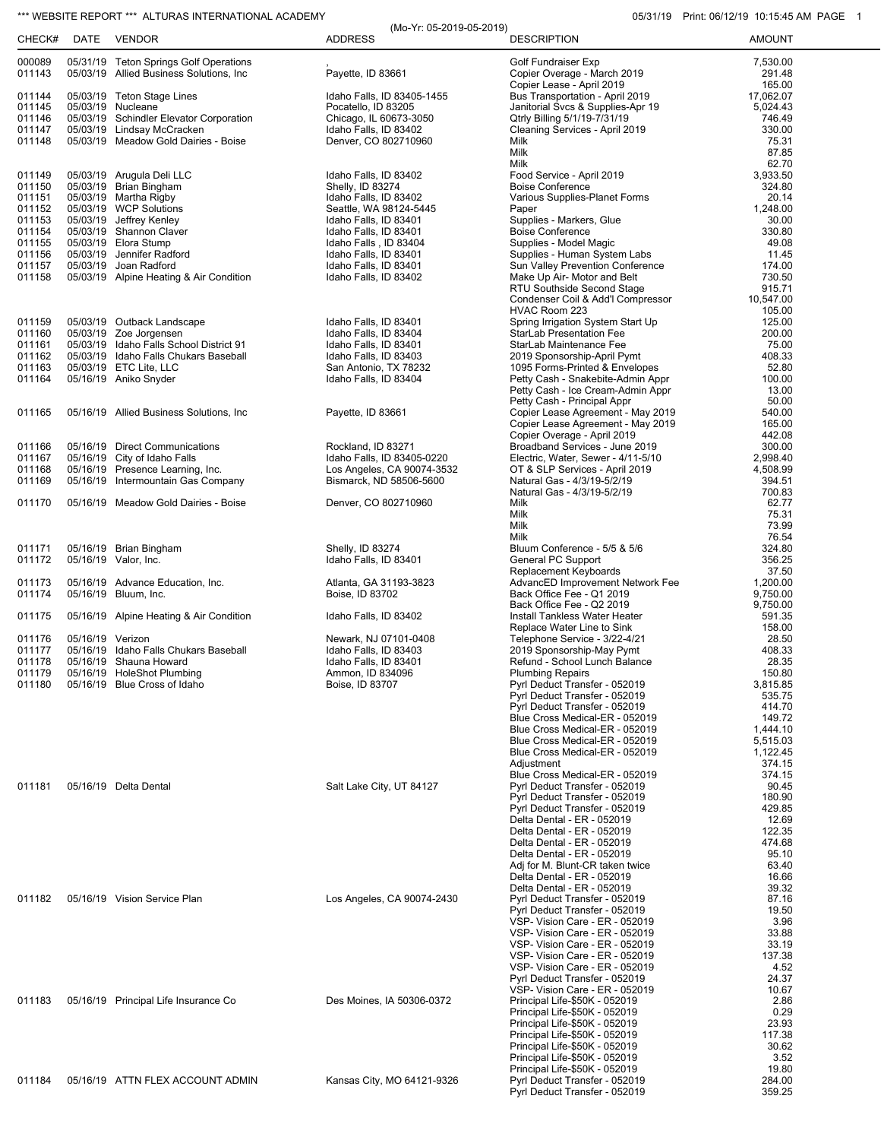## \*\*\* WEBSITE REPORT \*\*\* ALTURAS INTERNATIONAL ACADEMY **CHARGE 1 05/31/19** Print: 06/12/19 10:15:45 AM PAGE 1

| CHECK#           | DATE             | <b>VENDOR</b>                                                                    | (Mo-Yr: 05-2019-05-2019)<br><b>ADDRESS</b>               | <b>DESCRIPTION</b>                                                     | <b>AMOUNT</b>        |
|------------------|------------------|----------------------------------------------------------------------------------|----------------------------------------------------------|------------------------------------------------------------------------|----------------------|
| 000089           |                  | 05/31/19 Teton Springs Golf Operations                                           |                                                          | Golf Fundraiser Exp                                                    | 7,530.00             |
| 011143           |                  | 05/03/19 Allied Business Solutions, Inc                                          | Payette, ID 83661                                        | Copier Overage - March 2019                                            | 291.48               |
| 011144           |                  | 05/03/19 Teton Stage Lines                                                       | Idaho Falls, ID 83405-1455                               | Copier Lease - April 2019<br>Bus Transportation - April 2019           | 165.00<br>17,062.07  |
| 011145           |                  | 05/03/19 Nucleane                                                                | Pocatello, ID 83205                                      | Janitorial Svcs & Supplies-Apr 19                                      | 5,024.43             |
| 011146<br>011147 |                  | 05/03/19 Schindler Elevator Corporation<br>05/03/19 Lindsay McCracken            | Chicago, IL 60673-3050<br>Idaho Falls, ID 83402          | Qtrly Billing 5/1/19-7/31/19<br>Cleaning Services - April 2019         | 746.49<br>330.00     |
| 011148           |                  | 05/03/19 Meadow Gold Dairies - Boise                                             | Denver, CO 802710960                                     | Milk                                                                   | 75.31                |
|                  |                  |                                                                                  |                                                          | Milk<br>Milk                                                           | 87.85<br>62.70       |
| 011149           |                  | 05/03/19 Arugula Deli LLC                                                        | Idaho Falls, ID 83402                                    | Food Service - April 2019                                              | 3,933.50             |
| 011150           |                  | 05/03/19 Brian Bingham                                                           | Shelly, ID 83274                                         | <b>Boise Conference</b>                                                | 324.80               |
| 011151<br>011152 |                  | 05/03/19 Martha Rigby<br>05/03/19 WCP Solutions                                  | Idaho Falls, ID 83402<br>Seattle, WA 98124-5445          | Various Supplies-Planet Forms<br>Paper                                 | 20.14<br>1.248.00    |
| 011153           |                  | 05/03/19 Jeffrey Kenley                                                          | Idaho Falls, ID 83401                                    | Supplies - Markers, Glue                                               | 30.00                |
| 011154<br>011155 |                  | 05/03/19 Shannon Claver<br>05/03/19 Elora Stump                                  | Idaho Falls, ID 83401<br>Idaho Falls, ID 83404           | <b>Boise Conference</b><br>Supplies - Model Magic                      | 330.80<br>49.08      |
| 011156           |                  | 05/03/19 Jennifer Radford                                                        | Idaho Falls, ID 83401                                    | Supplies - Human System Labs                                           | 11.45                |
| 011157<br>011158 |                  | 05/03/19 Joan Radford<br>05/03/19 Alpine Heating & Air Condition                 | Idaho Falls, ID 83401<br>Idaho Falls, ID 83402           | Sun Valley Prevention Conference<br>Make Up Air- Motor and Belt        | 174.00<br>730.50     |
|                  |                  |                                                                                  |                                                          | RTU Southside Second Stage                                             | 915.71               |
|                  |                  |                                                                                  |                                                          | Condenser Coil & Add'l Compressor                                      | 10,547.00            |
| 011159           |                  | 05/03/19 Outback Landscape                                                       | Idaho Falls, ID 83401                                    | HVAC Room 223<br>Spring Irrigation System Start Up                     | 105.00<br>125.00     |
| 011160           |                  | 05/03/19 Zoe Jorgensen                                                           | Idaho Falls, ID 83404                                    | <b>StarLab Presentation Fee</b>                                        | 200.00               |
| 011161<br>011162 |                  | 05/03/19 Idaho Falls School District 91<br>05/03/19 Idaho Falls Chukars Baseball | Idaho Falls, ID 83401<br>Idaho Falls, ID 83403           | StarLab Maintenance Fee<br>2019 Sponsorship-April Pymt                 | 75.00<br>408.33      |
| 011163           |                  | 05/03/19 ETC Lite, LLC                                                           | San Antonio, TX 78232                                    | 1095 Forms-Printed & Envelopes                                         | 52.80                |
| 011164           |                  | 05/16/19 Aniko Snyder                                                            | Idaho Falls, ID 83404                                    | Petty Cash - Snakebite-Admin Appr<br>Petty Cash - Ice Cream-Admin Appr | 100.00<br>13.00      |
|                  |                  |                                                                                  |                                                          | Petty Cash - Principal Appr                                            | 50.00                |
| 011165           |                  | 05/16/19 Allied Business Solutions, Inc.                                         | Payette, ID 83661                                        | Copier Lease Agreement - May 2019<br>Copier Lease Agreement - May 2019 | 540.00<br>165.00     |
|                  |                  |                                                                                  |                                                          | Copier Overage - April 2019                                            | 442.08               |
| 011166           |                  | 05/16/19 Direct Communications                                                   | Rockland, ID 83271                                       | Broadband Services - June 2019                                         | 300.00               |
| 011167<br>011168 |                  | 05/16/19 City of Idaho Falls<br>05/16/19 Presence Learning, Inc.                 | Idaho Falls, ID 83405-0220<br>Los Angeles, CA 90074-3532 | Electric, Water, Sewer - 4/11-5/10<br>OT & SLP Services - April 2019   | 2,998.40<br>4,508.99 |
| 011169           |                  | 05/16/19 Intermountain Gas Company                                               | Bismarck, ND 58506-5600                                  | Natural Gas - 4/3/19-5/2/19                                            | 394.51               |
| 011170           |                  | 05/16/19 Meadow Gold Dairies - Boise                                             | Denver, CO 802710960                                     | Natural Gas - 4/3/19-5/2/19<br>Milk                                    | 700.83<br>62.77      |
|                  |                  |                                                                                  |                                                          | Milk                                                                   | 75.31                |
|                  |                  |                                                                                  |                                                          | Milk<br>Milk                                                           | 73.99<br>76.54       |
| 011171           |                  | 05/16/19 Brian Bingham                                                           | Shelly, ID 83274                                         | Bluum Conference - 5/5 & 5/6                                           | 324.80               |
| 011172           |                  | 05/16/19 Valor, Inc.                                                             | Idaho Falls, ID 83401                                    | General PC Support<br>Replacement Keyboards                            | 356.25<br>37.50      |
| 011173           |                  | 05/16/19 Advance Education, Inc.                                                 | Atlanta, GA 31193-3823                                   | AdvancED Improvement Network Fee                                       | 1,200.00             |
| 011174           |                  | 05/16/19 Bluum, Inc.                                                             | Boise, ID 83702                                          | Back Office Fee - Q1 2019<br>Back Office Fee - Q2 2019                 | 9,750.00<br>9,750.00 |
| 011175           |                  | 05/16/19 Alpine Heating & Air Condition                                          | Idaho Falls, ID 83402                                    | Install Tankless Water Heater                                          | 591.35               |
|                  |                  |                                                                                  |                                                          | Replace Water Line to Sink                                             | 158.00               |
| 011176<br>011177 | 05/16/19 Verizon | 05/16/19 Idaho Falls Chukars Baseball                                            | Newark, NJ 07101-0408<br>Idaho Falls, ID 83403           | Telephone Service - 3/22-4/21<br>2019 Sponsorship-May Pymt             | 28.50<br>408.33      |
| 011178           |                  | 05/16/19 Shauna Howard                                                           | Idaho Falls, ID 83401                                    | Refund - School Lunch Balance                                          | 28.35                |
| 011179<br>011180 |                  | 05/16/19 HoleShot Plumbing<br>05/16/19 Blue Cross of Idaho                       | Ammon, ID 834096<br>Boise, ID 83707                      | Plumbing Repairs<br>Pyrl Deduct Transfer - 052019                      | 150.80<br>3,815.85   |
|                  |                  |                                                                                  |                                                          | Pyrl Deduct Transfer - 052019                                          | 535.75               |
|                  |                  |                                                                                  |                                                          | Pyrl Deduct Transfer - 052019<br>Blue Cross Medical-ER - 052019        | 414.70<br>149.72     |
|                  |                  |                                                                                  |                                                          | Blue Cross Medical-ER - 052019                                         | 1,444.10             |
|                  |                  |                                                                                  |                                                          | Blue Cross Medical-ER - 052019<br>Blue Cross Medical-ER - 052019       | 5,515.03<br>1,122.45 |
|                  |                  |                                                                                  |                                                          | Adjustment                                                             | 374.15               |
| 011181           |                  | 05/16/19 Delta Dental                                                            | Salt Lake City, UT 84127                                 | Blue Cross Medical-ER - 052019<br>Pyrl Deduct Transfer - 052019        | 374.15<br>90.45      |
|                  |                  |                                                                                  |                                                          | Pyrl Deduct Transfer - 052019                                          | 180.90               |
|                  |                  |                                                                                  |                                                          | Pyrl Deduct Transfer - 052019<br>Delta Dental - ER - 052019            | 429.85<br>12.69      |
|                  |                  |                                                                                  |                                                          | Delta Dental - ER - 052019                                             | 122.35               |
|                  |                  |                                                                                  |                                                          | Delta Dental - ER - 052019                                             | 474.68               |
|                  |                  |                                                                                  |                                                          | Delta Dental - ER - 052019<br>Adj for M. Blunt-CR taken twice          | 95.10<br>63.40       |
|                  |                  |                                                                                  |                                                          | Delta Dental - ER - 052019                                             | 16.66                |
| 011182           |                  | 05/16/19 Vision Service Plan                                                     | Los Angeles, CA 90074-2430                               | Delta Dental - ER - 052019<br>Pyrl Deduct Transfer - 052019            | 39.32<br>87.16       |
|                  |                  |                                                                                  |                                                          | Pyrl Deduct Transfer - 052019                                          | 19.50                |
|                  |                  |                                                                                  |                                                          | VSP- Vision Care - ER - 052019<br>VSP- Vision Care - ER - 052019       | 3.96<br>33.88        |
|                  |                  |                                                                                  |                                                          | VSP- Vision Care - ER - 052019                                         | 33.19                |
|                  |                  |                                                                                  |                                                          | VSP- Vision Care - ER - 052019<br>VSP- Vision Care - ER - 052019       | 137.38<br>4.52       |
|                  |                  |                                                                                  |                                                          | Pyrl Deduct Transfer - 052019                                          | 24.37                |
| 011183           |                  | 05/16/19 Principal Life Insurance Co                                             | Des Moines, IA 50306-0372                                | VSP- Vision Care - ER - 052019                                         | 10.67<br>2.86        |
|                  |                  |                                                                                  |                                                          | Principal Life-\$50K - 052019<br>Principal Life-\$50K - 052019         | 0.29                 |
|                  |                  |                                                                                  |                                                          | Principal Life-\$50K - 052019                                          | 23.93                |
|                  |                  |                                                                                  |                                                          | Principal Life-\$50K - 052019<br>Principal Life-\$50K - 052019         | 117.38<br>30.62      |
|                  |                  |                                                                                  |                                                          | Principal Life-\$50K - 052019                                          | 3.52                 |
| 011184           |                  | 05/16/19 ATTN FLEX ACCOUNT ADMIN                                                 | Kansas City, MO 64121-9326                               | Principal Life-\$50K - 052019<br>Pyrl Deduct Transfer - 052019         | 19.80<br>284.00      |
|                  |                  |                                                                                  |                                                          | Pyrl Deduct Transfer - 052019                                          | 359.25               |